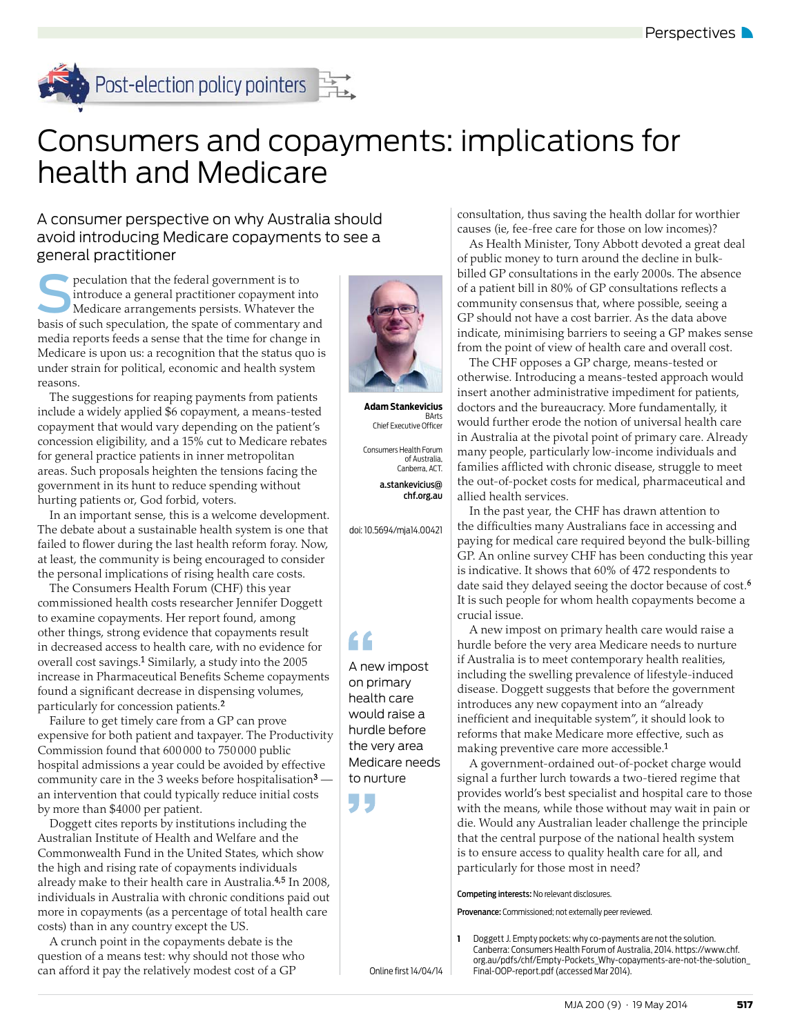

## $\therefore$  Post-election policy pointers

## Consumers and copayments: implications for health and Medicare

A consumer perspective on why Australia should avoid introducing Medicare copayments to see a general practitioner

Speculation that the federal government is to introduce a general practitioner copayment into Medicare arrangements persists. Whatever the introduce a general practitioner copayment into basis of such speculation, the spate of commentary and media reports feeds a sense that the time for change in Medicare is upon us: a recognition that the status quo is under strain for political, economic and health system reasons.

The suggestions for reaping payments from patients include a widely applied \$6 copayment, a means-tested copayment that would vary depending on the patient's concession eligibility, and a 15% cut to Medicare rebates for general practice patients in inner metropolitan areas. Such proposals heighten the tensions facing the government in its hunt to reduce spending without hurting patients or, God forbid, voters.

In an important sense, this is a welcome development. The debate about a sustainable health system is one that failed to flower during the last health reform foray. Now, at least, the community is being encouraged to consider the personal implications of rising health care costs.

The Consumers Health Forum (CHF) this year commissioned health costs researcher Jennifer Doggett to examine copayments. Her report found, among other things, strong evidence that copayments result in decreased access to health care, with no evidence for overall cost savings.1 Similarly, a study into the 2005 increase in Pharmaceutical Benefits Scheme copayments found a significant decrease in dispensing volumes, particularly for concession patients.<sup>2</sup>

Failure to get timely care from a GP can prove expensive for both patient and taxpayer. The Productivity Commission found that 600 000 to 750 000 public hospital admissions a year could be avoided by effective community care in the 3 weeks before hospitalisation<sup>3</sup>  $$ an intervention that could typically reduce initial costs by more than \$4000 per patient.

Doggett cites reports by institutions including the Australian Institute of Health and Welfare and the Commonwealth Fund in the United States, which show the high and rising rate of copayments individuals already make to their health care in Australia.4,5 In 2008, individuals in Australia with chronic conditions paid out more in copayments (as a percentage of total health care costs) than in any country except the US.

A crunch point in the copayments debate is the question of a means test: why should not those who can afford it pay the relatively modest cost of a GP



 **Adam Stankevicius**  BArts Chief Executive Officer

Consumers Health Forum of Australia, Canberra, ACT. a.stankevicius@ chf.org.au

doi: 10.5694/mja14.00421

" A new impost

on primary health care would raise a hurdle before the very area Medicare needs to nurture

consultation, thus saving the health dollar for worthier causes (ie, fee-free care for those on low incomes)?

As Health Minister, Tony Abbott devoted a great deal of public money to turn around the decline in bulkbilled GP consultations in the early 2000s. The absence of a patient bill in 80% of GP consultations reflects a community consensus that, where possible, seeing a GP should not have a cost barrier. As the data above indicate, minimising barriers to seeing a GP makes sense from the point of view of health care and overall cost.

The CHF opposes a GP charge, means-tested or otherwise. Introducing a means-tested approach would insert another administrative impediment for patients, doctors and the bureaucracy. More fundamentally, it would further erode the notion of universal health care in Australia at the pivotal point of primary care. Already many people, particularly low-income individuals and families afflicted with chronic disease, struggle to meet the out-of-pocket costs for medical, pharmaceutical and allied health services.

In the past year, the CHF has drawn attention to the difficulties many Australians face in accessing and paying for medical care required beyond the bulk-billing GP. An online survey CHF has been conducting this year is indicative. It shows that 60% of 472 respondents to date said they delayed seeing the doctor because of cost.<sup>6</sup> It is such people for whom health copayments become a crucial issue.

A new impost on primary health care would raise a hurdle before the very area Medicare needs to nurture if Australia is to meet contemporary health realities, including the swelling prevalence of lifestyle-induced disease. Doggett suggests that before the government introduces any new copayment into an "already inefficient and inequitable system", it should look to reforms that make Medicare more effective, such as making preventive care more accessible.<sup>1</sup>

A government-ordained out-of-pocket charge would signal a further lurch towards a two-tiered regime that provides world's best specialist and hospital care to those with the means, while those without may wait in pain or die. Would any Australian leader challenge the principle that the central purpose of the national health system is to ensure access to quality health care for all, and particularly for those most in need?

Competing interests: No relevant disclosures.

Provenance: Commissioned; not externally peer reviewed.

**1** Doggett J. Empty pockets: why co-payments are not the solution. Canberra: Consumers Health Forum of Australia, 2014. https://www.chf. org.au/pdfs/chf/Empty-Pockets\_Why-copayments-are-not-the-solution\_ Online first 14/04/14 Final-OOP-report.pdf (accessed Mar 2014).

MJA 200 $(9) \cdot 19$  May 2014 517